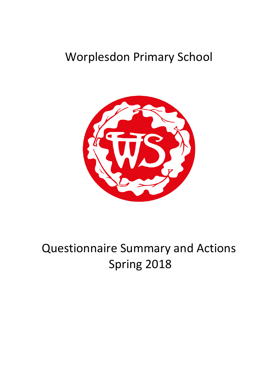## Worplesdon Primary School



# Questionnaire Summary and Actions Spring 2018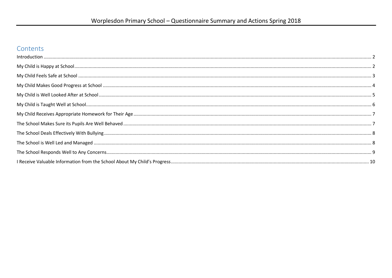#### Contents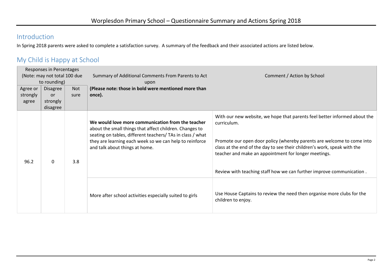#### <span id="page-2-0"></span>Introduction

In Spring 2018 parents were asked to complete a satisfaction survey. A summary of the feedback and their associated actions are listed below.

#### <span id="page-2-1"></span>My Child is Happy at School

| Responses in Percentages     |                 |      |                                                                                                                                                                                                                                                                         |                                                                                                                                                                                                                                                                                                                                                                                |
|------------------------------|-----------------|------|-------------------------------------------------------------------------------------------------------------------------------------------------------------------------------------------------------------------------------------------------------------------------|--------------------------------------------------------------------------------------------------------------------------------------------------------------------------------------------------------------------------------------------------------------------------------------------------------------------------------------------------------------------------------|
| (Note: may not total 100 due |                 |      | Summary of Additional Comments From Parents to Act                                                                                                                                                                                                                      | Comment / Action by School                                                                                                                                                                                                                                                                                                                                                     |
|                              | to rounding)    |      | upon                                                                                                                                                                                                                                                                    |                                                                                                                                                                                                                                                                                                                                                                                |
| Agree or                     | <b>Disagree</b> | Not  | (Please note: those in bold were mentioned more than                                                                                                                                                                                                                    |                                                                                                                                                                                                                                                                                                                                                                                |
| strongly                     | <b>or</b>       | sure | once).                                                                                                                                                                                                                                                                  |                                                                                                                                                                                                                                                                                                                                                                                |
| agree                        | strongly        |      |                                                                                                                                                                                                                                                                         |                                                                                                                                                                                                                                                                                                                                                                                |
|                              | disagree        |      |                                                                                                                                                                                                                                                                         |                                                                                                                                                                                                                                                                                                                                                                                |
| 96.2<br>$\mathbf 0$          |                 | 3.8  | We would love more communication from the teacher<br>about the small things that affect children. Changes to<br>seating on tables, different teachers/ TAs in class / what<br>they are learning each week so we can help to reinforce<br>and talk about things at home. | With our new website, we hope that parents feel better informed about the<br>curriculum.<br>Promote our open door policy (whereby parents are welcome to come into<br>class at the end of the day to see their children's work, speak with the<br>teacher and make an appointment for longer meetings.<br>Review with teaching staff how we can further improve communication. |
|                              |                 |      | More after school activities especially suited to girls                                                                                                                                                                                                                 | Use House Captains to review the need then organise more clubs for the<br>children to enjoy.                                                                                                                                                                                                                                                                                   |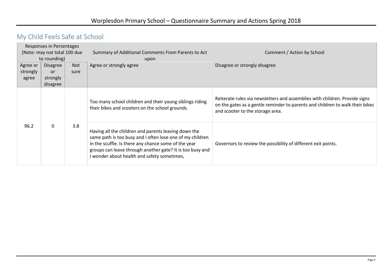## <span id="page-3-0"></span>My Child Feels Safe at School

|                              | Responses in Percentages |            |                                                                                                                                                                                                                                                                                       |                                                                                                                                                                                                  |
|------------------------------|--------------------------|------------|---------------------------------------------------------------------------------------------------------------------------------------------------------------------------------------------------------------------------------------------------------------------------------------|--------------------------------------------------------------------------------------------------------------------------------------------------------------------------------------------------|
| (Note: may not total 100 due |                          |            | Summary of Additional Comments From Parents to Act                                                                                                                                                                                                                                    | Comment / Action by School                                                                                                                                                                       |
|                              | to rounding)             |            | upon                                                                                                                                                                                                                                                                                  |                                                                                                                                                                                                  |
| Agree or                     | <b>Disagree</b>          | <b>Not</b> | Agree or strongly agree                                                                                                                                                                                                                                                               | Disagree or strongly disagree                                                                                                                                                                    |
| strongly                     | <b>or</b>                | sure       |                                                                                                                                                                                                                                                                                       |                                                                                                                                                                                                  |
| agree                        | strongly                 |            |                                                                                                                                                                                                                                                                                       |                                                                                                                                                                                                  |
|                              | disagree                 |            |                                                                                                                                                                                                                                                                                       |                                                                                                                                                                                                  |
|                              |                          |            | Too many school children and their young siblings riding<br>their bikes and scooters on the school grounds.                                                                                                                                                                           | Reiterate rules via newsletters and assemblies with children. Provide signs<br>on the gates as a gentle reminder to parents and children to walk their bikes<br>and scooter to the storage area. |
| 96.2                         | $\mathbf 0$              | 3.8        | Having all the children and parents leaving down the<br>same path is too busy and I often lose one of my children<br>in the scuffle. Is there any chance some of the year<br>groups can leave through another gate? It is too busy and<br>I wonder about health and safety sometimes, | Governors to review the possibility of different exit points.                                                                                                                                    |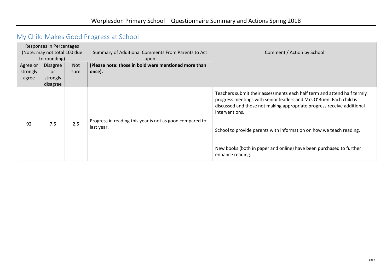## <span id="page-4-0"></span>My Child Makes Good Progress at School

| Agree or<br>strongly<br>agree | Responses in Percentages<br>(Note: may not total 100 due<br>to rounding)<br><b>Disagree</b><br><b>or</b><br>strongly<br>disagree | Not<br>sure | Summary of Additional Comments From Parents to Act<br>upon<br>(Please note: those in bold were mentioned more than<br>once). | Comment / Action by School                                                                                                                                                                                                                                                                                                                                                                                    |
|-------------------------------|----------------------------------------------------------------------------------------------------------------------------------|-------------|------------------------------------------------------------------------------------------------------------------------------|---------------------------------------------------------------------------------------------------------------------------------------------------------------------------------------------------------------------------------------------------------------------------------------------------------------------------------------------------------------------------------------------------------------|
| 92                            | 7.5                                                                                                                              | 2.5         | Progress in reading this year is not as good compared to<br>last year.                                                       | Teachers submit their assessments each half term and attend half termly<br>progress meetings with senior leaders and Mrs O'Brien. Each child is<br>discussed and those not making appropriate progress receive additional<br>interventions.<br>School to provide parents with information on how we teach reading.<br>New books (both in paper and online) have been purchased to further<br>enhance reading. |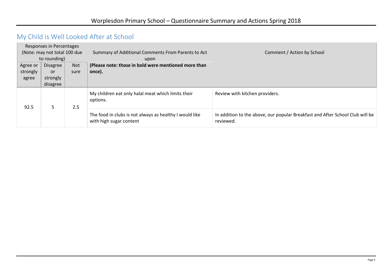## <span id="page-5-0"></span>My Child is Well Looked After at School

|                              | Responses in Percentages |            |                                                                                    |                                                                                            |
|------------------------------|--------------------------|------------|------------------------------------------------------------------------------------|--------------------------------------------------------------------------------------------|
| (Note: may not total 100 due |                          |            | Summary of Additional Comments From Parents to Act                                 | Comment / Action by School                                                                 |
|                              | to rounding)             |            | upon                                                                               |                                                                                            |
| Agree or                     | Disagree                 | <b>Not</b> | (Please note: those in bold were mentioned more than                               |                                                                                            |
| strongly                     | or                       | sure       | once).                                                                             |                                                                                            |
| agree                        | strongly                 |            |                                                                                    |                                                                                            |
|                              | disagree                 |            |                                                                                    |                                                                                            |
| 92.5                         | 5                        | 2.5        | My children eat only halal meat which limits their<br>options.                     | Review with kitchen providers.                                                             |
|                              |                          |            | The food in clubs is not always as healthy I would like<br>with high sugar content | In addition to the above, our popular Breakfast and After School Club will be<br>reviewed. |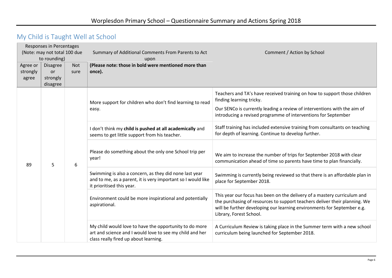## <span id="page-6-0"></span>My Child is Taught Well at School

| Agree or<br>strongly<br>agree | Responses in Percentages<br>(Note: may not total 100 due<br>to rounding)<br><b>Disagree</b><br><b>Not</b><br>or<br>sure<br>strongly |   | Summary of Additional Comments From Parents to Act<br>upon<br>(Please note: those in bold were mentioned more than<br>once).                                | Comment / Action by School                                                                                                                                                                                                                                   |                                                                                                                                               |
|-------------------------------|-------------------------------------------------------------------------------------------------------------------------------------|---|-------------------------------------------------------------------------------------------------------------------------------------------------------------|--------------------------------------------------------------------------------------------------------------------------------------------------------------------------------------------------------------------------------------------------------------|-----------------------------------------------------------------------------------------------------------------------------------------------|
|                               | disagree                                                                                                                            |   |                                                                                                                                                             |                                                                                                                                                                                                                                                              |                                                                                                                                               |
|                               |                                                                                                                                     |   | More support for children who don't find learning to read                                                                                                   | Teachers and TA's have received training on how to support those children<br>finding learning tricky.                                                                                                                                                        |                                                                                                                                               |
|                               | 5                                                                                                                                   |   | easy.                                                                                                                                                       | Our SENCo is currently leading a review of interventions with the aim of<br>introducing a revised programme of interventions for September                                                                                                                   |                                                                                                                                               |
|                               |                                                                                                                                     | 6 | I don't think my child is pushed at all academically and<br>seems to get little support from his teacher.                                                   | Staff training has included extensive training from consultants on teaching<br>for depth of learning. Continue to develop further.                                                                                                                           |                                                                                                                                               |
| 89                            |                                                                                                                                     |   |                                                                                                                                                             | Please do something about the only one School trip per<br>year!                                                                                                                                                                                              | We aim to increase the number of trips for September 2018 with clear<br>communication ahead of time so parents have time to plan financially. |
|                               |                                                                                                                                     |   | Swimming is also a concern, as they did none last year<br>and to me, as a parent, it is very important so I would like<br>it prioritised this year.         | Swimming is currently being reviewed so that there is an affordable plan in<br>place for September 2018.                                                                                                                                                     |                                                                                                                                               |
|                               |                                                                                                                                     |   | Environment could be more inspirational and potentially<br>aspirational.                                                                                    | This year our focus has been on the delivery of a mastery curriculum and<br>the purchasing of resources to support teachers deliver their planning. We<br>will be further developing our learning environments for September e.g.<br>Library, Forest School. |                                                                                                                                               |
|                               |                                                                                                                                     |   | My child would love to have the opportunity to do more<br>art and science and I would love to see my child and her<br>class really fired up about learning. | A Curriculum Review is taking place in the Summer term with a new school<br>curriculum being launched for September 2018.                                                                                                                                    |                                                                                                                                               |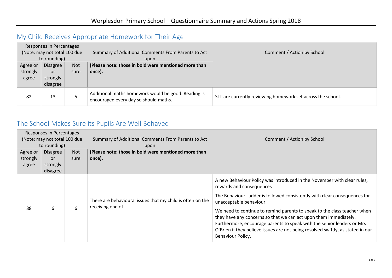### <span id="page-7-0"></span>My Child Receives Appropriate Homework for Their Age

|                              | Responses in Percentages      |      |                                                                                              |                                                             |
|------------------------------|-------------------------------|------|----------------------------------------------------------------------------------------------|-------------------------------------------------------------|
| (Note: may not total 100 due |                               |      | Summary of Additional Comments From Parents to Act                                           | Comment / Action by School                                  |
|                              | to rounding)                  |      | upon                                                                                         |                                                             |
| Agree or                     | <b>Disagree</b><br><b>Not</b> |      | (Please note: those in bold were mentioned more than                                         |                                                             |
| strongly                     | or                            | sure | once).                                                                                       |                                                             |
| agree                        | strongly                      |      |                                                                                              |                                                             |
|                              | disagree                      |      |                                                                                              |                                                             |
| 82                           | 13                            |      | Additional maths homework would be good. Reading is<br>encouraged every day so should maths. | SLT are currently reviewing homework set across the school. |

#### <span id="page-7-1"></span>The School Makes Sure its Pupils Are Well Behaved

| Responses in Percentages     |                 |      |                                                                                 |                                                                                                                                                                                                                                                                                                                                                                                                                                                                                                                                               |
|------------------------------|-----------------|------|---------------------------------------------------------------------------------|-----------------------------------------------------------------------------------------------------------------------------------------------------------------------------------------------------------------------------------------------------------------------------------------------------------------------------------------------------------------------------------------------------------------------------------------------------------------------------------------------------------------------------------------------|
| (Note: may not total 100 due |                 |      | Summary of Additional Comments From Parents to Act                              | Comment / Action by School                                                                                                                                                                                                                                                                                                                                                                                                                                                                                                                    |
|                              | to rounding)    |      | upon                                                                            |                                                                                                                                                                                                                                                                                                                                                                                                                                                                                                                                               |
| Agree or                     | <b>Disagree</b> | Not  | (Please note: those in bold were mentioned more than                            |                                                                                                                                                                                                                                                                                                                                                                                                                                                                                                                                               |
| strongly                     | <b>or</b>       | sure | once).                                                                          |                                                                                                                                                                                                                                                                                                                                                                                                                                                                                                                                               |
| agree                        | strongly        |      |                                                                                 |                                                                                                                                                                                                                                                                                                                                                                                                                                                                                                                                               |
|                              | disagree        |      |                                                                                 |                                                                                                                                                                                                                                                                                                                                                                                                                                                                                                                                               |
| 88                           | 6               | 6    | There are behavioural issues that my child is often on the<br>receiving end of. | A new Behaviour Policy was introduced in the November with clear rules,<br>rewards and consequences<br>The Behaviour Ladder is followed consistently with clear consequences for<br>unacceptable behaviour.<br>We need to continue to remind parents to speak to the class teacher when<br>they have any concerns so that we can act upon them immediately.<br>Furthermore, encourage parents to speak with the senior leaders or Mrs<br>O'Brien if they believe issues are not being resolved swiftly, as stated in our<br>Behaviour Policy. |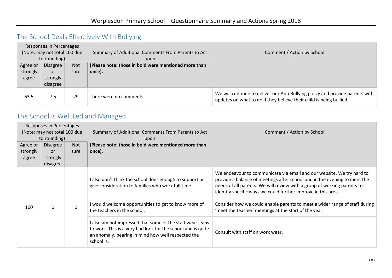### <span id="page-8-0"></span>The School Deals Effectively With Bullying

| Responses in Percentages     |                 |            |                                                      |                                                                                                                                                      |
|------------------------------|-----------------|------------|------------------------------------------------------|------------------------------------------------------------------------------------------------------------------------------------------------------|
| (Note: may not total 100 due |                 |            | Summary of Additional Comments From Parents to Act   | Comment / Action by School                                                                                                                           |
|                              | to rounding)    |            | upon                                                 |                                                                                                                                                      |
| Agree or                     | <b>Disagree</b> | <b>Not</b> | (Please note: those in bold were mentioned more than |                                                                                                                                                      |
| strongly                     | or              | sure       | once).                                               |                                                                                                                                                      |
| agree                        | strongly        |            |                                                      |                                                                                                                                                      |
|                              | disagree        |            |                                                      |                                                                                                                                                      |
| 63.5                         | 7.5             | 29         | There were no comments                               | We will continue to deliver our Anti Bullying policy and provide parents with<br>updates on what to do if they believe their child is being bullied. |

### <span id="page-8-1"></span>The School is Well Led and Managed

|                              | Responses in Percentages |              |                                                                                                                                                                                               |                                                                                                                                                                                                                                                                                                |
|------------------------------|--------------------------|--------------|-----------------------------------------------------------------------------------------------------------------------------------------------------------------------------------------------|------------------------------------------------------------------------------------------------------------------------------------------------------------------------------------------------------------------------------------------------------------------------------------------------|
| (Note: may not total 100 due |                          |              | Summary of Additional Comments From Parents to Act                                                                                                                                            | Comment / Action by School                                                                                                                                                                                                                                                                     |
|                              | to rounding)             |              | upon                                                                                                                                                                                          |                                                                                                                                                                                                                                                                                                |
| Agree or                     | <b>Disagree</b>          | Not          | (Please note: those in bold were mentioned more than                                                                                                                                          |                                                                                                                                                                                                                                                                                                |
| strongly                     | or                       | sure         | once).                                                                                                                                                                                        |                                                                                                                                                                                                                                                                                                |
| agree                        | strongly                 |              |                                                                                                                                                                                               |                                                                                                                                                                                                                                                                                                |
|                              | disagree                 |              |                                                                                                                                                                                               |                                                                                                                                                                                                                                                                                                |
|                              |                          | $\mathbf{0}$ | I also don't think the school does enough to support or<br>give consideration to families who work full time.                                                                                 | We endeavour to communicate via email and our website. We try hard to<br>provide a balance of meetings after school and in the evening to meet the<br>needs of all parents. We will review with a group of working parents to<br>identify specific ways we could further improve in this area. |
| 100                          | 0                        |              | I would welcome opportunities to get to know more of<br>the teachers in the school.                                                                                                           | Consider how we could enable parents to meet a wider range of staff during<br>'meet the teacher' meetings at the start of the year.                                                                                                                                                            |
|                              |                          |              | I also am not impressed that some of the staff wear jeans<br>to work. This is a very bad look for the school and is quite<br>an anomaly, bearing in mind how well respected the<br>school is. | Consult with staff on work wear.                                                                                                                                                                                                                                                               |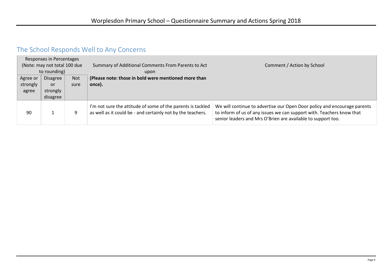## <span id="page-9-0"></span>The School Responds Well to Any Concerns

<span id="page-9-1"></span>

| Responses in Percentages<br>(Note: may not total 100 due<br>to rounding) |                               |      | Summary of Additional Comments From Parents to Act<br>upon                                                                 | Comment / Action by School                                                                                                                                                                                        |
|--------------------------------------------------------------------------|-------------------------------|------|----------------------------------------------------------------------------------------------------------------------------|-------------------------------------------------------------------------------------------------------------------------------------------------------------------------------------------------------------------|
| Agree or                                                                 | <b>Disagree</b><br><b>Not</b> |      | (Please note: those in bold were mentioned more than                                                                       |                                                                                                                                                                                                                   |
| strongly                                                                 | or                            | sure | once).                                                                                                                     |                                                                                                                                                                                                                   |
| agree                                                                    | strongly<br>disagree          |      |                                                                                                                            |                                                                                                                                                                                                                   |
| 90                                                                       | ┻.                            | 9    | I'm not sure the attitude of some of the parents is tackled<br>as well as it could be - and certainly not by the teachers. | We will continue to advertise our Open Door policy and encourage parents<br>to inform of us of any issues we can support with. Teachers know that<br>senior leaders and Mrs O'Brien are available to support too. |